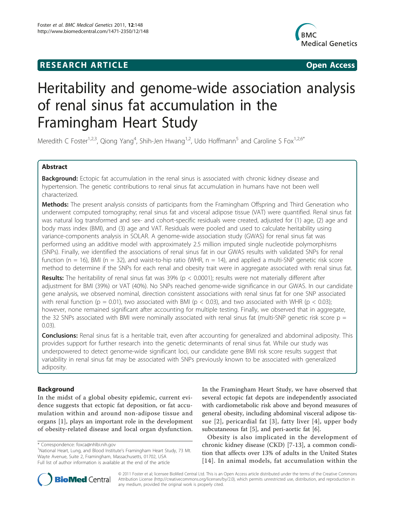# **RESEARCH ARTICLE Example 2018 CONSIDERING ACCESS**



# Heritability and genome-wide association analysis of renal sinus fat accumulation in the Framingham Heart Study

Meredith C Foster<sup>1,2,3</sup>, Qiong Yang<sup>4</sup>, Shih-Jen Hwang<sup>1,2</sup>, Udo Hoffmann<sup>5</sup> and Caroline S Fox<sup>1,2,6\*</sup>

# Abstract

Background: Ectopic fat accumulation in the renal sinus is associated with chronic kidney disease and hypertension. The genetic contributions to renal sinus fat accumulation in humans have not been well characterized.

Methods: The present analysis consists of participants from the Framingham Offspring and Third Generation who underwent computed tomography; renal sinus fat and visceral adipose tissue (VAT) were quantified. Renal sinus fat was natural log transformed and sex- and cohort-specific residuals were created, adjusted for (1) age, (2) age and body mass index (BMI), and (3) age and VAT. Residuals were pooled and used to calculate heritability using variance-components analysis in SOLAR. A genome-wide association study (GWAS) for renal sinus fat was performed using an additive model with approximately 2.5 million imputed single nucleotide polymorphisms (SNPs). Finally, we identified the associations of renal sinus fat in our GWAS results with validated SNPs for renal function ( $n = 16$ ), BMI ( $n = 32$ ), and waist-to-hip ratio (WHR,  $n = 14$ ), and applied a multi-SNP genetic risk score method to determine if the SNPs for each renal and obesity trait were in aggregate associated with renal sinus fat.

**Results:** The heritability of renal sinus fat was 39% ( $p < 0.0001$ ); results were not materially different after adjustment for BMI (39%) or VAT (40%). No SNPs reached genome-wide significance in our GWAS. In our candidate gene analysis, we observed nominal, direction consistent associations with renal sinus fat for one SNP associated with renal function (p = 0.01), two associated with BMI (p < 0.03), and two associated with WHR (p < 0.03); however, none remained significant after accounting for multiple testing. Finally, we observed that in aggregate, the 32 SNPs associated with BMI were nominally associated with renal sinus fat (multi-SNP genetic risk score  $p =$ 0.03).

Conclusions: Renal sinus fat is a heritable trait, even after accounting for generalized and abdominal adiposity. This provides support for further research into the genetic determinants of renal sinus fat. While our study was underpowered to detect genome-wide significant loci, our candidate gene BMI risk score results suggest that variability in renal sinus fat may be associated with SNPs previously known to be associated with generalized adiposity.

# Background

In the midst of a global obesity epidemic, current evidence suggests that ectopic fat deposition, or fat accumulation within and around non-adipose tissue and organs [\[1](#page-7-0)], plays an important role in the development of obesity-related disease and local organ dysfunction.

<sup>1</sup>National Heart, Lung, and Blood Institute's Framingham Heart Study, 73 Mt. Wayte Avenue, Suite 2, Framingham, Massachusetts, 01702, USA Full list of author information is available at the end of the article

In the Framingham Heart Study, we have observed that several ectopic fat depots are independently associated with cardiometabolic risk above and beyond measures of general obesity, including abdominal visceral adipose tissue [[2](#page-7-0)], pericardial fat [[3\]](#page-7-0), fatty liver [[4](#page-7-0)], upper body subcutaneous fat [[5\]](#page-7-0), and peri-aortic fat [\[6](#page-7-0)].

Obesity is also implicated in the development of chronic kidney disease (CKD) [\[7](#page-7-0)-[13\]](#page-7-0), a common condition that affects over 13% of adults in the United States [[14\]](#page-7-0). In animal models, fat accumulation within the



© 2011 Foster et al; licensee BioMed Central Ltd. This is an Open Access article distributed under the terms of the Creative Commons Attribution License [\(http://creativecommons.org/licenses/by/2.0](http://creativecommons.org/licenses/by/2.0)), which permits unrestricted use, distribution, and reproduction in any medium, provided the original work is properly cited.

<sup>\*</sup> Correspondence: [foxca@nhlbi.nih.gov](mailto:foxca@nhlbi.nih.gov)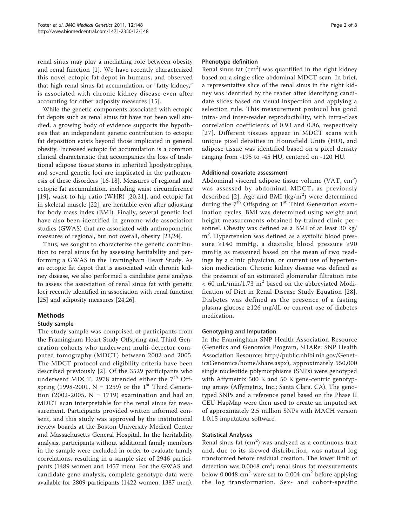renal sinus may play a mediating role between obesity and renal function [[1\]](#page-7-0). We have recently characterized this novel ectopic fat depot in humans, and observed that high renal sinus fat accumulation, or "fatty kidney," is associated with chronic kidney disease even after accounting for other adiposity measures [[15\]](#page-7-0).

While the genetic components associated with ectopic fat depots such as renal sinus fat have not been well studied, a growing body of evidence supports the hypothesis that an independent genetic contribution to ectopic fat deposition exists beyond those implicated in general obesity. Increased ectopic fat accumulation is a common clinical characteristic that accompanies the loss of traditional adipose tissue stores in inherited lipodystrophies, and several genetic loci are implicated in the pathogenesis of these disorders [\[16-18](#page-7-0)]. Measures of regional and ectopic fat accumulation, including waist circumference [[19](#page-7-0)], waist-to-hip ratio (WHR) [[20,21\]](#page-7-0), and ectopic fat in skeletal muscle [[22](#page-7-0)], are heritable even after adjusting for body mass index (BMI). Finally, several genetic loci have also been identified in genome-wide association studies (GWAS) that are associated with anthropometric measures of regional, but not overall, obesity [[23](#page-7-0),[24](#page-7-0)].

Thus, we sought to characterize the genetic contribution to renal sinus fat by assessing heritability and performing a GWAS in the Framingham Heart Study. As an ectopic fat depot that is associated with chronic kidney disease, we also performed a candidate gene analysis to assess the association of renal sinus fat with genetic loci recently identified in association with renal function [[25\]](#page-7-0) and adiposity measures [[24,26](#page-7-0)].

# Methods

# Study sample

The study sample was comprised of participants from the Framingham Heart Study Offspring and Third Generation cohorts who underwent multi-detector computed tomography (MDCT) between 2002 and 2005. The MDCT protocol and eligibility criteria have been described previously [\[2](#page-7-0)]. Of the 3529 participants who underwent MDCT, 2978 attended either the  $7<sup>th</sup>$  Offspring (1998-2001,  $N = 1259$ ) or the 1<sup>st</sup> Third Generation (2002-2005,  $N = 1719$ ) examination and had an MDCT scan interpretable for the renal sinus fat measurement. Participants provided written informed consent, and this study was approved by the institutional review boards at the Boston University Medical Center and Massachusetts General Hospital. In the heritability analysis, participants without additional family members in the sample were excluded in order to evaluate family correlations, resulting in a sample size of 2946 participants (1489 women and 1457 men). For the GWAS and candidate gene analysis, complete genotype data were available for 2809 participants (1422 women, 1387 men).

# Phenotype definition

Renal sinus fat  $(cm<sup>2</sup>)$  was quantified in the right kidney based on a single slice abdominal MDCT scan. In brief, a representative slice of the renal sinus in the right kidney was identified by the reader after identifying candidate slices based on visual inspection and applying a selection rule. This measurement protocol has good intra- and inter-reader reproducibility, with intra-class correlation coefficients of 0.93 and 0.86, respectively [[27](#page-7-0)]. Different tissues appear in MDCT scans with unique pixel densities in Hounsfield Units (HU), and adipose tissue was identified based on a pixel density ranging from -195 to -45 HU, centered on -120 HU.

# Additional covariate assessment

Abdominal visceral adipose tissue volume (VAT,  $cm^3$ ) was assessed by abdominal MDCT, as previously described [[2\]](#page-7-0). Age and BMI ( $\text{kg/m}^2$ ) were determined during the  $7<sup>th</sup>$  Offspring or  $1<sup>st</sup>$  Third Generation examination cycles. BMI was determined using weight and height measurements obtained by trained clinic personnel. Obesity was defined as a BMI of at least 30 kg/ m2 . Hypertension was defined as a systolic blood pressure ≥140 mmHg, a diastolic blood pressure ≥90 mmHg as measured based on the mean of two readings by a clinic physician, or current use of hypertension medication. Chronic kidney disease was defined as the presence of an estimated glomerular filtration rate  $< 60$  mL/min/1.73 m<sup>2</sup> based on the abbreviated Modification of Diet in Renal Disease Study Equation [[28](#page-7-0)]. Diabetes was defined as the presence of a fasting plasma glucose ≥126 mg/dL or current use of diabetes medication.

# Genotyping and Imputation

In the Framingham SNP Health Association Resource (Genetics and Genomics Program, SHARe: SNP Health Association Resource: [http://public.nhlbi.nih.gov/Genet](http://public.nhlbi.nih.gov/GeneticsGenomics/home/share.aspx)[icsGenomics/home/share.aspx](http://public.nhlbi.nih.gov/GeneticsGenomics/home/share.aspx)), approximately 550,000 single nucleotide polymorphisms (SNPs) were genotyped with Affymetrix 500 K and 50 K gene-centric genotyping arrays (Affymetrix, Inc.; Santa Clara, CA). The genotyped SNPs and a reference panel based on the Phase II CEU HapMap were then used to create an imputed set of approximately 2.5 million SNPs with MACH version 1.0.15 imputation software.

# Statistical Analyses

Renal sinus fat  $(cm<sup>2</sup>)$  was analyzed as a continuous trait and, due to its skewed distribution, was natural log transformed before residual creation. The lower limit of detection was  $0.0048$  cm<sup>2</sup>; renal sinus fat measurements below 0.0048  $\text{cm}^2$  were set to 0.004  $\text{cm}^2$  before applying the log transformation. Sex- and cohort-specific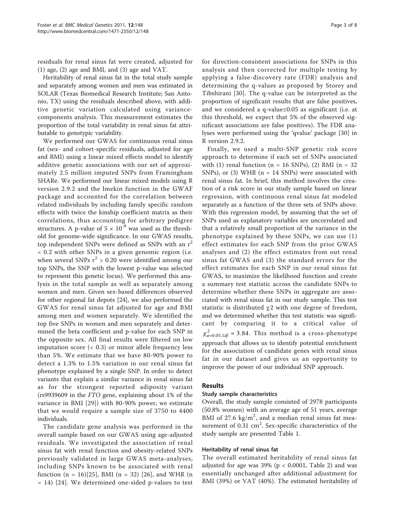residuals for renal sinus fat were created, adjusted for (1) age, (2) age and BMI, and (3) age and VAT.

Heritability of renal sinus fat in the total study sample and separately among women and men was estimated in SOLAR (Texas Biomedical Research Institute; San Antonio, TX) using the residuals described above, with additive genetic variation calculated using variancecomponents analysis. This measurement estimates the proportion of the total variability in renal sinus fat attributable to genotypic variability.

We performed our GWAS for continuous renal sinus fat (sex- and cohort-specific residuals, adjusted for age and BMI) using a linear mixed effects model to identify additive genetic associations with our set of approximately 2.5 million imputed SNPs from Framingham SHARe. We performed our linear mixed models using R version 2.9.2 and the lmekin function in the GWAF package and accounted for the correlation between related individuals by including family specific random effects with twice the kinship coefficient matrix as their correlations, thus accounting for arbitrary pedigree structures. A p-value of  $5 \times 10^{-8}$  was used as the threshold for genome-wide significance. In our GWAS results, top independent SNPs were defined as SNPs with an  $r^2$ < 0.2 with other SNPs in a given genomic region (i.e. when several SNPs  $r^2 > 0.20$  were identified among our top SNPs, the SNP with the lowest p-value was selected to represent this genetic locus). We performed this analysis in the total sample as well as separately among women and men. Given sex-based differences observed for other regional fat depots [[24](#page-7-0)], we also performed the GWAS for renal sinus fat adjusted for age and BMI among men and women separately. We identified the top five SNPs in women and men separately and determined the beta coefficient and p-value for each SNP in the opposite sex. All final results were filtered on low imputation score  $( $0.3$ ) or minor allele frequency less$ than 5%. We estimate that we have 80-90% power to detect a 1.3% to 1.5% variation in our renal sinus fat phenotype explained by a single SNP. In order to detect variants that explain a similar variance in renal sinus fat as for the strongest reported adiposity variant (rs9939609 in the FTO gene, explaining about 1% of the variance in BMI [[29](#page-7-0)]) with 80-90% power, we estimate that we would require a sample size of 3750 to 4400 individuals.

The candidate gene analysis was performed in the overall sample based on our GWAS using age-adjusted residuals. We investigated the association of renal sinus fat with renal function and obesity-related SNPs previously validated in large GWAS meta-analyses, including SNPs known to be associated with renal function  $(n = 16)[25]$  $(n = 16)[25]$ , BMI  $(n = 32)$  [[26\]](#page-7-0), and WHR  $(n = 16)$ = 14) [[24](#page-7-0)]. We determined one-sided p-values to test for direction-consistent associations for SNPs in this analysis and then corrected for multiple testing by applying a false-discovery rate (FDR) analysis and determining the q-values as proposed by Storey and Tibshirani [[30\]](#page-7-0). The q-value can be interpreted as the proportion of significant results that are false positives, and we considered a q-value≤0.05 as significant (i.e. at this threshold, we expect that 5% of the observed significant associations are false positives). The FDR analyses were performed using the 'qvalue' package [[30\]](#page-7-0) in R version 2.9.2.

Finally, we used a multi-SNP genetic risk score approach to determine if each set of SNPs associated with (1) renal function ( $n = 16$  SNPs), (2) BMI ( $n = 32$ SNPs), or (3) WHR ( $n = 14$  SNPs) were associated with renal sinus fat. In brief, this method involves the creation of a risk score in our study sample based on linear regression, with continuous renal sinus fat modeled separately as a function of the three sets of SNPs above. With this regression model, by assuming that the set of SNPs used as explanatory variables are uncorrelated and that a relatively small proportion of the variance in the phenotype explained by these SNPs, we can use (1) effect estimates for each SNP from the prior GWAS analyses and (2) the effect estimates from out renal sinus fat GWAS and (3) the standard errors for the effect estimates for each SNP in our renal sinus fat GWAS, to maximize the likelihood function and create a summary test statistic across the candidate SNPs to determine whether these SNPs in aggregate are associated with renal sinus fat in our study sample. This test statistic is distributed  $\chi$ 2 with one degree of freedom, and we determined whether this test statistic was significant by comparing it to a critical value of  $\chi^2_{\alpha=0.05,1df}$  = 3.84. This method is a cross-phenotype approach that allows us to identify potential enrichment for the association of candidate genes with renal sinus fat in our dataset and gives us an opportunity to improve the power of our individual SNP approach.

## Results

## Study sample characteristics

Overall, the study sample consisted of 2978 participants (50.8% women) with an average age of 51 years, average BMI of 27.6  $\text{kg/m}^2$ , and a median renal sinus fat measurement of  $0.31 \text{ cm}^2$ . Sex-specific characteristics of the study sample are presented Table [1.](#page-3-0)

## Heritability of renal sinus fat

The overall estimated heritability of renal sinus fat adjusted for age was  $39\%$  (p < 0.0001, Table [2](#page-3-0)) and was essentially unchanged after additional adjustment for BMI (39%) or VAT (40%). The estimated heritability of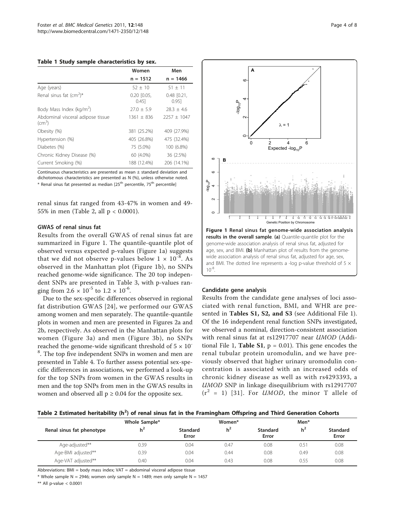<span id="page-3-0"></span>Table 1 Study sample characteristics by sex.

|                                                   | Women                       | Men                      |
|---------------------------------------------------|-----------------------------|--------------------------|
|                                                   | $n = 1512$                  | $n = 1466$               |
| Age (years)                                       | $52 \pm 10$                 | $51 + 11$                |
| Renal sinus fat $\text{cm}^2$ <sup>*</sup>        | $0.20$ $[0.05,$<br>$0.45$ ] | $0.48$ $[0.21,$<br>0.951 |
| Body Mass Index (kg/m <sup>2</sup> )              | $27.0 + 5.9$                | $78.3 + 4.6$             |
| Abdominal visceral adipose tissue<br>$\rm (cm^3)$ | $1361 + 836$                | $2257 + 1047$            |
| Obesity (%)                                       | 381 (25.2%)                 | 409 (27.9%)              |
| Hypertension (%)                                  | 405 (26.8%)                 | 475 (32.4%)              |
| Diabetes (%)                                      | 75 (5.0%)                   | 100 (6.8%)               |
| Chronic Kidney Disease (%)                        | 60 (4.0%)                   | 36 (2.5%)                |
| Current Smoking (%)                               | 188 (12.4%)                 | 206 (14.1%)              |

Continuous characteristics are presented as mean ± standard deviation and dichotomous characteristics are presented as N (%), unless otherwise noted. \* Renal sinus fat presented as median [25<sup>th</sup> percentile, 75<sup>th</sup> percentile]

renal sinus fat ranged from 43-47% in women and 49- 55% in men (Table 2, all p < 0.0001).

# GWAS of renal sinus fat

Results from the overall GWAS of renal sinus fat are summarized in Figure 1. The quantile-quantile plot of observed versus expected p-values (Figure 1a) suggests that we did not observe p-values below  $1 \times 10^{-8}$ . As observed in the Manhattan plot (Figure 1b), no SNPs reached genome-wide significance. The 20 top independent SNPs are presented in Table [3,](#page-4-0) with p-values ranging from  $2.6 \times 10^{-5}$  to  $1.2 \times 10^{-6}$ .

Due to the sex-specific differences observed in regional fat distribution GWAS [[24](#page-7-0)], we performed our GWAS among women and men separately. The quantile-quantile plots in women and men are presented in Figures [2a](#page-5-0) and [2b,](#page-5-0) respectively. As observed in the Manhattan plots for women (Figure [3a](#page-5-0)) and men (Figure [3b\)](#page-5-0), no SNPs reached the genome-wide significant threshold of  $5 \times 10^{-7}$ <sup>8</sup>. The top five independent SNPs in women and men are presented in Table [4.](#page-6-0) To further assess potential sex-specific differences in associations, we performed a look-up for the top SNPs from women in the GWAS results in men and the top SNPs from men in the GWAS results in women and observed all  $p \geq 0.04$  for the opposite sex.



#### Candidate gene analysis

Results from the candidate gene analyses of loci associated with renal function, BMI, and WHR are pre-sented in Tables S1, S2, and S3 (see Additional File [1](#page-6-0)). Of the 16 independent renal function SNPs investigated, we observed a nominal, direction-consistent association with renal sinus fat at rs12917707 near UMOD (Addi-tional File [1,](#page-6-0) **Table S1**,  $p = 0.01$ ). This gene encodes the renal tubular protein uromodulin, and we have previously observed that higher urinary uromodulin concentration is associated with an increased odds of chronic kidney disease as well as with rs4293393, a UMOD SNP in linkage disequilibrium with rs12917707  $(r^2 = 1)$  [[31\]](#page-7-0). For *UMOD*, the minor T allele of

Table 2 Estimated heritability (h<sup>2</sup>) of renal sinus fat in the Framingham Offspring and Third Generation Cohorts

|                           | Whole Sample*  |                          | Women*         |                          | Men*           |                          |  |
|---------------------------|----------------|--------------------------|----------------|--------------------------|----------------|--------------------------|--|
| Renal sinus fat phenotype | h <sup>2</sup> | <b>Standard</b><br>Error | h <sup>2</sup> | <b>Standard</b><br>Error | h <sup>2</sup> | <b>Standard</b><br>Error |  |
| Age-adjusted**            | 0.39           | 0.04                     | 0.47           | 0.08                     | 0.51           | 0.08                     |  |
| Age-BMI adjusted**        | 0.39           | 0.04                     | 0.44           | 0.08                     | 0.49           | 0.08                     |  |
| Age-VAT adjusted**        | 0.40           | 0.04                     | 0.43           | 0.08                     | 0.55           | 0.08                     |  |

Abbreviations: BMI = body mass index; VAT = abdominal visceral adipose tissue

\* Whole sample N = 2946; women only sample N = 1489; men only sample N = 1457

\*\* All p-value < 0.0001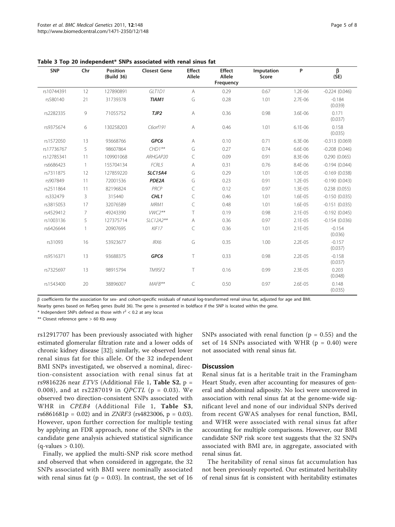| <b>SNP</b> | Chr          | <b>Position</b><br>(Build 36) | <b>Closest Gene</b> | <b>Effect</b><br>Allele                                                                                | <b>Effect</b><br>Allele<br>Frequency | Imputation<br>Score | P           | β<br>(SE)           |
|------------|--------------|-------------------------------|---------------------|--------------------------------------------------------------------------------------------------------|--------------------------------------|---------------------|-------------|---------------------|
| rs10744391 | 12           | 127890891                     | GLT1D1              | $\overline{A}$                                                                                         | 0.29                                 | 0.67                | 1.2E-06     | $-0.224(0.046)$     |
| rs580140   | 21           | 31739378                      | TIAM1               | G                                                                                                      | 0.28                                 | 1.01                | 2.7E-06     | $-0.184$<br>(0.039) |
| rs2282335  | 9            | 71055752                      | TJP2                | Α                                                                                                      | 0.36                                 | 0.98                | 3.6E-06     | 0.171<br>(0.037)    |
| rs9375674  | 6            | 130258203                     | C6orf191            | $\mathsf{A}% _{\mathsf{A}}^{\prime}=\mathsf{A}_{\mathsf{A}}^{\prime}=\mathsf{A}_{\mathsf{A}}^{\prime}$ | 0.46                                 | 1.01                | $6.1E - 06$ | 0.158<br>(0.035)    |
| rs1572050  | 13           | 93668766                      | GPC6                | Α                                                                                                      | 0.10                                 | 0.71                | 6.3E-06     | $-0.313(0.069)$     |
| rs17736767 | 5            | 98607864                      | $CHDI***$           | G                                                                                                      | 0.27                                 | 0.74                | 6.6E-06     | $-0.208(0.046)$     |
| rs12785341 | 11           | 109901068                     | ARHGAP20            | C                                                                                                      | 0.09                                 | 0.91                | 8.3E-06     | 0.290(0.065)        |
| rs6686423  | $\mathbf{1}$ | 155704134                     | FCRL5               | Α                                                                                                      | 0.31                                 | 0.76                | 8.4E-06     | $-0.194(0.044)$     |
| rs7311875  | 12           | 127859220                     | <b>SLC15A4</b>      | G                                                                                                      | 0.29                                 | 1.01                | 1.0E-05     | $-0.169(0.038)$     |
| rs907849   | 11           | 72001536                      | PDE2A               | G                                                                                                      | 0.23                                 | 0.91                | 1.2E-05     | $-0.190(0.043)$     |
| rs2511864  | 11           | 82196824                      | PRCP                | C                                                                                                      | 0.12                                 | 0.97                | 1.3E-05     | 0.238(0.055)        |
| rs332479   | 3            | 315440                        | CHL <sub>1</sub>    | C                                                                                                      | 0.46                                 | 1.01                | 1.6E-05     | $-0.150(0.035)$     |
| rs3815053  | 17           | 32076589                      | MRM1                | C                                                                                                      | 0.48                                 | 1.01                | 1.6E-05     | $-0.151(0.035)$     |
| rs4529412  | 7            | 49243390                      | $VWC2***$           | T                                                                                                      | 0.19                                 | 0.98                | 2.1E-05     | $-0.192(0.045)$     |
| rs1003136  | 5            | 127375714                     | SLC12A2**           | $\mathsf{A}% _{\mathsf{A}}^{\prime}=\mathsf{A}_{\mathsf{A}}^{\prime}=\mathsf{A}_{\mathsf{A}}^{\prime}$ | 0.36                                 | 0.97                | 2.1E-05     | $-0.154(0.036)$     |
| rs6426644  | $\mathbf{1}$ | 20907695                      | KIF17               | C                                                                                                      | 0.36                                 | 1.01                | 2.1E-05     | $-0.154$<br>(0.036) |
| rs31093    | 16           | 53923677                      | IRX6                | G                                                                                                      | 0.35                                 | 1.00                | 2.2E-05     | $-0.157$<br>(0.037) |
| rs9516371  | 13           | 93688375                      | GPC6                | $\top$                                                                                                 | 0.33                                 | 0.98                | 2.2E-05     | $-0.158$<br>(0.037) |
| rs7325697  | 13           | 98915794                      | TM9SF2              | T                                                                                                      | 0.16                                 | 0.99                | 2.3E-05     | 0.203<br>(0.048)    |
| rs1543400  | 20           | 38896007                      | MAFB**              | C                                                                                                      | 0.50                                 | 0.97                | 2.6E-05     | 0.148<br>(0.035)    |

<span id="page-4-0"></span>Table 3 Top 20 independent\* SNPs associated with renal sinus fat

 $\overline{B}$  coefficients for the association for sex- and cohort-specific residuals of natural log-transformed renal sinus fat, adjusted for age and BMI.

Nearby genes based on RefSeq genes (build 36). The gene is presented in boldface if the SNP is located within the gene.

\* Independent SNPs defined as those with  $r^2$  < 0.2 at any locus

\*\* Closest reference gene > 60 Kb away

rs12917707 has been previously associated with higher estimated glomerular filtration rate and a lower odds of chronic kidney disease [[32\]](#page-7-0); similarly, we observed lower renal sinus fat for this allele. Of the 32 independent BMI SNPs investigated, we observed a nominal, direction-consistent association with renal sinus fat at rs9816226 near  $ETV5$  (Additional File [1,](#page-6-0) Table S2, p = 0.008), and at rs2287019 in *QPCTL* ( $p = 0.03$ ). We observed two direction-consistent SNPs associated with WHR in CPEB4 (Additional File [1](#page-6-0), Table S3, rs6861681p = 0.02) and in *ZNRF3* (rs4823006, p = 0.03). However, upon further correction for multiple testing by applying an FDR approach, none of the SNPs in the candidate gene analysis achieved statistical significance  $(q$ -values > 0.10).

Finally, we applied the multi-SNP risk score method and observed that when considered in aggregate, the 32 SNPs associated with BMI were nominally associated with renal sinus fat ( $p = 0.03$ ). In contrast, the set of 16 SNPs associated with renal function ( $p = 0.55$ ) and the set of 14 SNPs associated with WHR ( $p = 0.40$ ) were not associated with renal sinus fat.

# **Discussion**

Renal sinus fat is a heritable trait in the Framingham Heart Study, even after accounting for measures of general and abdominal adiposity. No loci were uncovered in association with renal sinus fat at the genome-wide significant level and none of our individual SNPs derived from recent GWAS analyses for renal function, BMI, and WHR were associated with renal sinus fat after accounting for multiple comparisons. However, our BMI candidate SNP risk score test suggests that the 32 SNPs associated with BMI are, in aggregate, associated with renal sinus fat.

The heritability of renal sinus fat accumulation has not been previously reported. Our estimated heritability of renal sinus fat is consistent with heritability estimates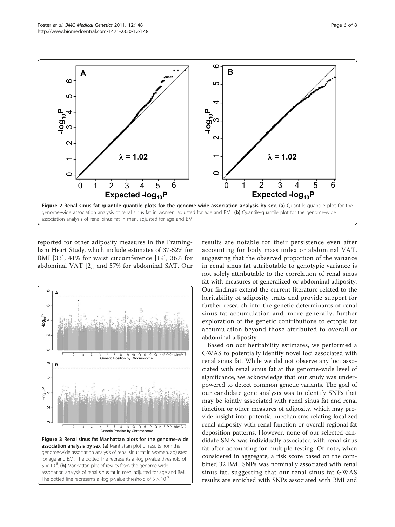reported for other adiposity measures in the Framingham Heart Study, which include estimates of 37-52% for BMI [[33\]](#page-7-0), 41% for waist circumference [[19](#page-7-0)], 36% for abdominal VAT [[2](#page-7-0)], and 57% for abdominal SAT. Our



results are notable for their persistence even after accounting for body mass index or abdominal VAT, suggesting that the observed proportion of the variance in renal sinus fat attributable to genotypic variance is not solely attributable to the correlation of renal sinus fat with measures of generalized or abdominal adiposity. Our findings extend the current literature related to the heritability of adiposity traits and provide support for further research into the genetic determinants of renal sinus fat accumulation and, more generally, further exploration of the genetic contributions to ectopic fat accumulation beyond those attributed to overall or abdominal adiposity.

Based on our heritability estimates, we performed a GWAS to potentially identify novel loci associated with renal sinus fat. While we did not observe any loci associated with renal sinus fat at the genome-wide level of significance, we acknowledge that our study was underpowered to detect common genetic variants. The goal of our candidate gene analysis was to identify SNPs that may be jointly associated with renal sinus fat and renal function or other measures of adiposity, which may provide insight into potential mechanisms relating localized renal adiposity with renal function or overall regional fat deposition patterns. However, none of our selected candidate SNPs was individually associated with renal sinus fat after accounting for multiple testing. Of note, when considered in aggregate, a risk score based on the combined 32 BMI SNPs was nominally associated with renal sinus fat, suggesting that our renal sinus fat GWAS results are enriched with SNPs associated with BMI and



**A B**

<span id="page-5-0"></span>

ဖ

5

₹

 $\epsilon$ 

ഥ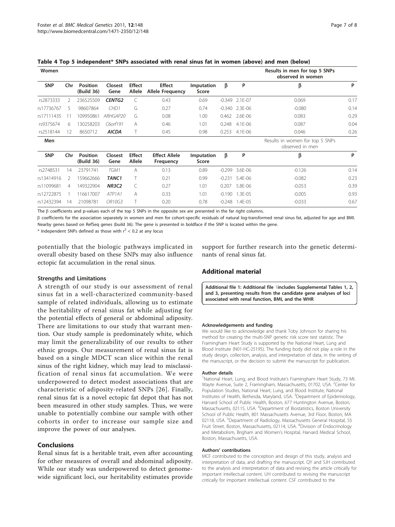| Women      |     |                               |                                 |                         |                                          |                     |          |         | Results in men for top 5 SNPs<br>observed in women |      |
|------------|-----|-------------------------------|---------------------------------|-------------------------|------------------------------------------|---------------------|----------|---------|----------------------------------------------------|------|
| <b>SNP</b> | Chr | <b>Position</b><br>(Build 36) | <b>Closest</b><br>Gene          | <b>Effect</b><br>Allele | <b>Effect</b><br><b>Allele Frequency</b> | Imputation<br>Score | β        | P       | β                                                  | P    |
| rs2873333  | 2   | 236525509                     | <b>CENTG2</b>                   |                         | 0.43                                     | 0.69                | $-0.349$ | 2.1E-07 | 0.069                                              | 0.17 |
| rs17736767 | 5   | 98607864                      | CHD <sub>1</sub>                | G                       | 0.27                                     | 0.74                | $-0.340$ | 2.3E-06 | $-0.080$                                           | 0.14 |
| rs17111435 |     | 109950861                     | ARHGAP20                        | G                       | 0.08                                     | 1.00                | 0.462    | 2.6E-06 | 0.083                                              | 0.29 |
| rs9375674  | 6   | 130258203                     | C6orf191                        | А                       | 0.46                                     | 1.01                | 0.248    | 4.1E-06 | 0.087                                              | 0.04 |
| rs2518144  | 12  | 8650712                       | <b>AICDA</b>                    |                         | 0.45                                     | 0.98                | 0.253    | 4.1E-06 | 0.046                                              | 0.26 |
| Men        |     |                               |                                 |                         |                                          |                     |          |         | Results in women for top 5 SNPs<br>observed in men |      |
| <b>SNP</b> | Chr | <b>Position</b><br>(Build 36) | Closest<br>Gene                 | <b>Effect</b><br>Allele | <b>Effect Allele</b><br>Frequency        | Imputation<br>Score | β        | P       | β                                                  | P    |
| rs2748531  | 14  | 23791741                      | TGM1                            | A                       | 0.13                                     | 0.89                | $-0.299$ | 3.6E-06 | $-0.126$                                           | 0.14 |
| rs13414916 | 2   | 159662666                     | TANC <sub>1</sub>               |                         | 0.21                                     | 0.99                | $-0.231$ | 5.4E-06 | $-0.082$                                           | 0.23 |
| rs11099681 | 4   | 149322904                     | <b>NR3C2</b>                    |                         | 0.27                                     | 1.01                | 0.207    | 5.8E-06 | $-0.053$                                           | 0.39 |
| rs12722875 |     | 116617007                     | ATP <sub>1</sub> A <sub>1</sub> | А                       | 0.33                                     | 1.01                | $-0.190$ | 1.3E-05 | $-0.005$                                           | 0.93 |
| rs12432394 | 14  | 21098781                      | OR10G3                          |                         | 0.20                                     | 0.78                | -0.248   | 1.4E-05 | $-0.033$                                           | 0.67 |

<span id="page-6-0"></span>Table 4 Top 5 independent\* SNPs associated with renal sinus fat in women (above) and men (below)

The  $\beta$  coefficients and p-values each of the top 5 SNPs in the opposite sex are presented in the far right columns.

 $\beta$  coefficients for the association separately in women and men for cohort-specific residuals of natural log-transformed renal sinus fat, adjusted for age and BMI. Nearby genes based on RefSeq genes (build 36). The gene is presented in boldface if the SNP is located within the gene.

 $*$  Independent SNPs defined as those with  $r^2$  < 0.2 at any locus

potentially that the biologic pathways implicated in overall obesity based on these SNPs may also influence ectopic fat accumulation in the renal sinus.

## Strengths and Limitations

A strength of our study is our assessment of renal sinus fat in a well-characterized community-based sample of related individuals, allowing us to estimate the heritability of renal sinus fat while adjusting for the potential effects of general or abdominal adiposity. There are limitations to our study that warrant mention. Our study sample is predominately white, which may limit the generalizability of our results to other ethnic groups. Our measurement of renal sinus fat is based on a single MDCT scan slice within the renal sinus of the right kidney, which may lead to misclassification of renal sinus fat accumulation. We were underpowered to detect modest associations that are characteristic of adiposity-related SNPs [[26](#page-7-0)]. Finally, renal sinus fat is a novel ectopic fat depot that has not been measured in other study samples. Thus, we were unable to potentially combine our sample with other cohorts in order to increase our sample size and improve the power of our analyses.

# Conclusions

Renal sinus fat is a heritable trait, even after accounting for other measures of overall and abdominal adiposity. While our study was underpowered to detect genomewide significant loci, our heritability estimates provide support for further research into the genetic determinants of renal sinus fat.

# Additional material

[Additional file 1: A](http://www.biomedcentral.com/content/supplementary/1471-2350-12-148-S1.DOC)dditional file 1includes Supplemental Tables 1, 2, and 3, presenting results from the candidate gene analyses of loci associated with renal function, BMI, and the WHR.

#### Acknowledgements and funding

We would like to acknowledge and thank Toby Johnson for sharing his method for creating the multi-SNP genetic risk score test statistic. The Framingham Heart Study is supported by the National Heart, Lung and Blood Institute (N01-HC-25195). The funding body did not play a role in the study design, collection, analysis, and interpretation of data, in the writing of the manuscript, or the decision to submit the manuscript for publication.

#### Author details

<sup>1</sup>National Heart, Lung, and Blood Institute's Framingham Heart Study, 73 Mt Wayte Avenue, Suite 2, Framingham, Massachusetts, 01702, USA. <sup>2</sup>Center for Population Studies, National Heart, Lung, and Blood Institute, National Institutes of Health, Bethesda, Maryland, USA. <sup>3</sup>Department of Epidemiology, Harvard School of Public Health, Boston, 677 Huntington Avenue, Boston, Massachusetts, 02115, USA. <sup>4</sup>Department of Biostatistics, Boston University School of Public Health, 801 Massachusetts Avenue, 3rd Floor, Boston, MA 02118, USA. <sup>5</sup>Department of Radiology, Massachusetts General Hospital, 55 Fruit Street, Boston, Massachusetts, 02114, USA. <sup>6</sup>Division of Endocrinology and Metabolism, Brigham and Women's Hospital, Harvard Medical School, Boston, Massachusetts, USA.

#### Authors' contributions

MCF contributed to the conception and design of this study, analysis and interpretation of data, and drafting the manuscript. QY and SJH contributed to the analysis and interpretation of data and revising the article critically for important intellectual content. UH contributed to revising the manuscript critically for important intellectual content. CSF contributed to the